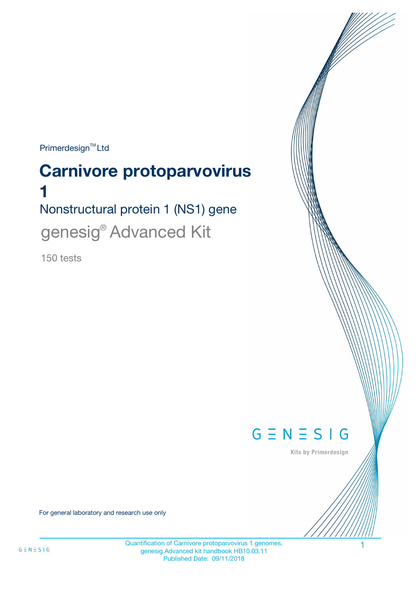$Primerdesign^{\text{TM}}$ Ltd

# Nonstructural protein 1 (NS1) gene **Carnivore protoparvovirus 1** genesig<sup>®</sup> Advanced Kit

150 tests



Kits by Primerdesign

For general laboratory and research use only

Quantification of Carnivore protoparvovirus 1 genomes. genesig Advanced kit handbook HB10.03.11 Published Date: 09/11/2018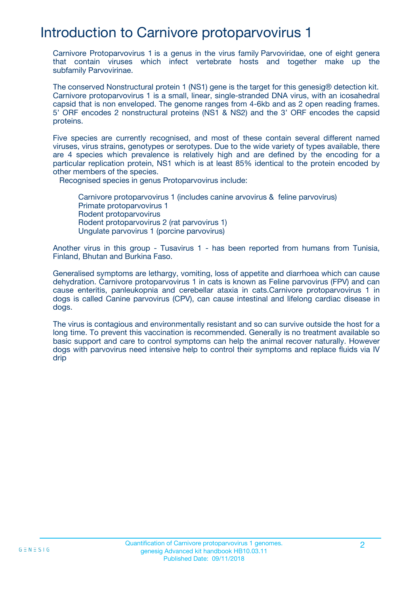## Introduction to Carnivore protoparvovirus 1

Carnivore Protoparvovirus 1 is a genus in the virus family Parvoviridae, one of eight genera that contain viruses which infect vertebrate hosts and together make up the subfamily Parvovirinae.

The conserved Nonstructural protein 1 (NS1) gene is the target for this genesig® detection kit. Carnivore protoparvovirus 1 is a small, linear, single-stranded DNA virus, with an icosahedral capsid that is non enveloped. The genome ranges from 4-6kb and as 2 open reading frames. 5' ORF encodes 2 nonstructural proteins (NS1 & NS2) and the 3' ORF encodes the capsid proteins.

Five species are currently recognised, and most of these contain several different named viruses, virus strains, genotypes or serotypes. Due to the wide variety of types available, there are 4 species which prevalence is relatively high and are defined by the encoding for a particular replication protein, NS1 which is at least 85% identical to the protein encoded by other members of the species.

Recognised species in genus Protoparvovirus include:

Carnivore protoparvovirus 1 (includes canine arvovirus & feline parvovirus) Primate protoparvovirus 1 Rodent protoparvovirus Rodent protoparvovirus 2 (rat parvovirus 1) Ungulate parvovirus 1 (porcine parvovirus)

Another virus in this group - Tusavirus 1 - has been reported from humans from Tunisia, Finland, Bhutan and Burkina Faso.

Generalised symptoms are lethargy, vomiting, loss of appetite and diarrhoea which can cause dehydration. Carnivore protoparvovirus 1 in cats is known as Feline parvovirus (FPV) and can cause enteritis, panleukopnia and cerebellar ataxia in cats.Carnivore protoparvovirus 1 in dogs is called Canine parvovirus (CPV), can cause intestinal and lifelong cardiac disease in dogs.

The virus is contagious and environmentally resistant and so can survive outside the host for a long time. To prevent this vaccination is recommended. Generally is no treatment available so basic support and care to control symptoms can help the animal recover naturally. However dogs with parvovirus need intensive help to control their symptoms and replace fluids via IV drip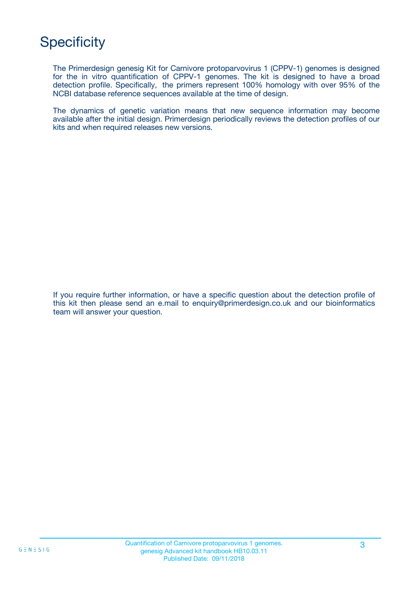# **Specificity**

The Primerdesign genesig Kit for Carnivore protoparvovirus 1 (CPPV-1) genomes is designed for the in vitro quantification of CPPV-1 genomes. The kit is designed to have a broad detection profile. Specifically, the primers represent 100% homology with over 95% of the NCBI database reference sequences available at the time of design.

The dynamics of genetic variation means that new sequence information may become available after the initial design. Primerdesign periodically reviews the detection profiles of our kits and when required releases new versions.

If you require further information, or have a specific question about the detection profile of this kit then please send an e.mail to enquiry@primerdesign.co.uk and our bioinformatics team will answer your question.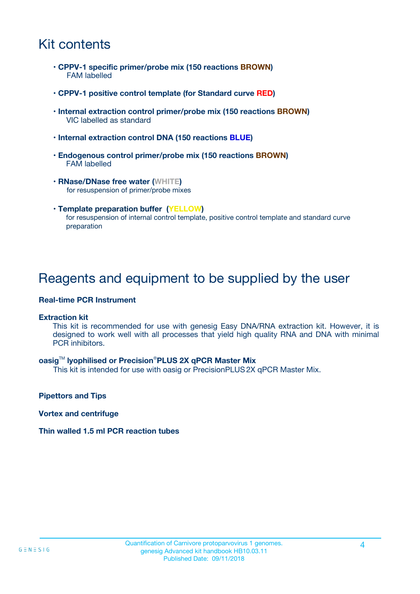## Kit contents

- **CPPV-1 specific primer/probe mix (150 reactions BROWN)** FAM labelled
- **CPPV-1 positive control template (for Standard curve RED)**
- **Internal extraction control primer/probe mix (150 reactions BROWN)** VIC labelled as standard
- **Internal extraction control DNA (150 reactions BLUE)**
- **Endogenous control primer/probe mix (150 reactions BROWN)** FAM labelled
- **RNase/DNase free water (WHITE)** for resuspension of primer/probe mixes
- **Template preparation buffer (YELLOW)** for resuspension of internal control template, positive control template and standard curve preparation

### Reagents and equipment to be supplied by the user

#### **Real-time PCR Instrument**

#### **Extraction kit**

This kit is recommended for use with genesig Easy DNA/RNA extraction kit. However, it is designed to work well with all processes that yield high quality RNA and DNA with minimal PCR inhibitors.

#### **oasig**TM **lyophilised or Precision**®**PLUS 2X qPCR Master Mix**

This kit is intended for use with oasig or PrecisionPLUS2X qPCR Master Mix.

**Pipettors and Tips**

**Vortex and centrifuge**

#### **Thin walled 1.5 ml PCR reaction tubes**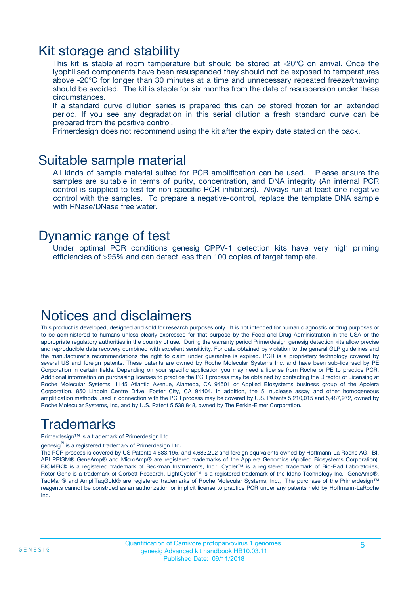### Kit storage and stability

This kit is stable at room temperature but should be stored at -20ºC on arrival. Once the lyophilised components have been resuspended they should not be exposed to temperatures above -20°C for longer than 30 minutes at a time and unnecessary repeated freeze/thawing should be avoided. The kit is stable for six months from the date of resuspension under these circumstances.

If a standard curve dilution series is prepared this can be stored frozen for an extended period. If you see any degradation in this serial dilution a fresh standard curve can be prepared from the positive control.

Primerdesign does not recommend using the kit after the expiry date stated on the pack.

### Suitable sample material

All kinds of sample material suited for PCR amplification can be used. Please ensure the samples are suitable in terms of purity, concentration, and DNA integrity (An internal PCR control is supplied to test for non specific PCR inhibitors). Always run at least one negative control with the samples. To prepare a negative-control, replace the template DNA sample with RNase/DNase free water.

### Dynamic range of test

Under optimal PCR conditions genesig CPPV-1 detection kits have very high priming efficiencies of >95% and can detect less than 100 copies of target template.

## Notices and disclaimers

This product is developed, designed and sold for research purposes only. It is not intended for human diagnostic or drug purposes or to be administered to humans unless clearly expressed for that purpose by the Food and Drug Administration in the USA or the appropriate regulatory authorities in the country of use. During the warranty period Primerdesign genesig detection kits allow precise and reproducible data recovery combined with excellent sensitivity. For data obtained by violation to the general GLP guidelines and the manufacturer's recommendations the right to claim under guarantee is expired. PCR is a proprietary technology covered by several US and foreign patents. These patents are owned by Roche Molecular Systems Inc. and have been sub-licensed by PE Corporation in certain fields. Depending on your specific application you may need a license from Roche or PE to practice PCR. Additional information on purchasing licenses to practice the PCR process may be obtained by contacting the Director of Licensing at Roche Molecular Systems, 1145 Atlantic Avenue, Alameda, CA 94501 or Applied Biosystems business group of the Applera Corporation, 850 Lincoln Centre Drive, Foster City, CA 94404. In addition, the 5' nuclease assay and other homogeneous amplification methods used in connection with the PCR process may be covered by U.S. Patents 5,210,015 and 5,487,972, owned by Roche Molecular Systems, Inc, and by U.S. Patent 5,538,848, owned by The Perkin-Elmer Corporation.

# Trademarks

Primerdesign™ is a trademark of Primerdesign Ltd.

genesig $^\circledR$  is a registered trademark of Primerdesign Ltd.

The PCR process is covered by US Patents 4,683,195, and 4,683,202 and foreign equivalents owned by Hoffmann-La Roche AG. BI, ABI PRISM® GeneAmp® and MicroAmp® are registered trademarks of the Applera Genomics (Applied Biosystems Corporation). BIOMEK® is a registered trademark of Beckman Instruments, Inc.; iCycler™ is a registered trademark of Bio-Rad Laboratories, Rotor-Gene is a trademark of Corbett Research. LightCycler™ is a registered trademark of the Idaho Technology Inc. GeneAmp®, TaqMan® and AmpliTaqGold® are registered trademarks of Roche Molecular Systems, Inc., The purchase of the Primerdesign™ reagents cannot be construed as an authorization or implicit license to practice PCR under any patents held by Hoffmann-LaRoche Inc.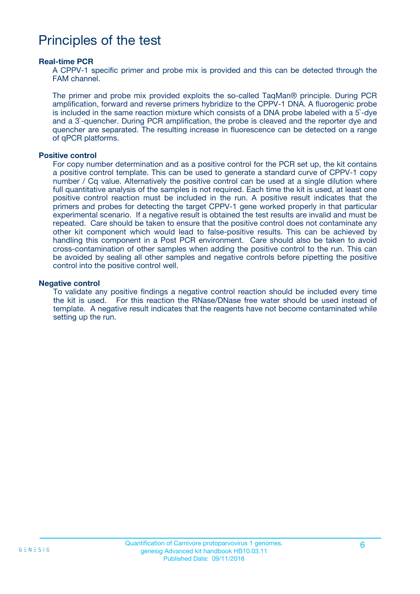### Principles of the test

#### **Real-time PCR**

A CPPV-1 specific primer and probe mix is provided and this can be detected through the FAM channel.

The primer and probe mix provided exploits the so-called TaqMan® principle. During PCR amplification, forward and reverse primers hybridize to the CPPV-1 DNA. A fluorogenic probe is included in the same reaction mixture which consists of a DNA probe labeled with a 5`-dye and a 3`-quencher. During PCR amplification, the probe is cleaved and the reporter dye and quencher are separated. The resulting increase in fluorescence can be detected on a range of qPCR platforms.

#### **Positive control**

For copy number determination and as a positive control for the PCR set up, the kit contains a positive control template. This can be used to generate a standard curve of CPPV-1 copy number / Cq value. Alternatively the positive control can be used at a single dilution where full quantitative analysis of the samples is not required. Each time the kit is used, at least one positive control reaction must be included in the run. A positive result indicates that the primers and probes for detecting the target CPPV-1 gene worked properly in that particular experimental scenario. If a negative result is obtained the test results are invalid and must be repeated. Care should be taken to ensure that the positive control does not contaminate any other kit component which would lead to false-positive results. This can be achieved by handling this component in a Post PCR environment. Care should also be taken to avoid cross-contamination of other samples when adding the positive control to the run. This can be avoided by sealing all other samples and negative controls before pipetting the positive control into the positive control well.

#### **Negative control**

To validate any positive findings a negative control reaction should be included every time the kit is used. For this reaction the RNase/DNase free water should be used instead of template. A negative result indicates that the reagents have not become contaminated while setting up the run.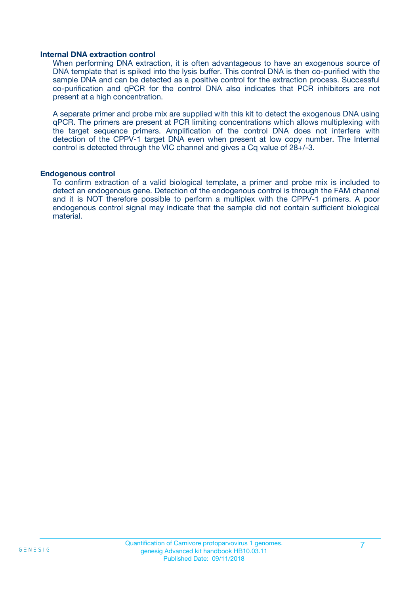#### **Internal DNA extraction control**

When performing DNA extraction, it is often advantageous to have an exogenous source of DNA template that is spiked into the lysis buffer. This control DNA is then co-purified with the sample DNA and can be detected as a positive control for the extraction process. Successful co-purification and qPCR for the control DNA also indicates that PCR inhibitors are not present at a high concentration.

A separate primer and probe mix are supplied with this kit to detect the exogenous DNA using qPCR. The primers are present at PCR limiting concentrations which allows multiplexing with the target sequence primers. Amplification of the control DNA does not interfere with detection of the CPPV-1 target DNA even when present at low copy number. The Internal control is detected through the VIC channel and gives a Cq value of 28+/-3.

#### **Endogenous control**

To confirm extraction of a valid biological template, a primer and probe mix is included to detect an endogenous gene. Detection of the endogenous control is through the FAM channel and it is NOT therefore possible to perform a multiplex with the CPPV-1 primers. A poor endogenous control signal may indicate that the sample did not contain sufficient biological material.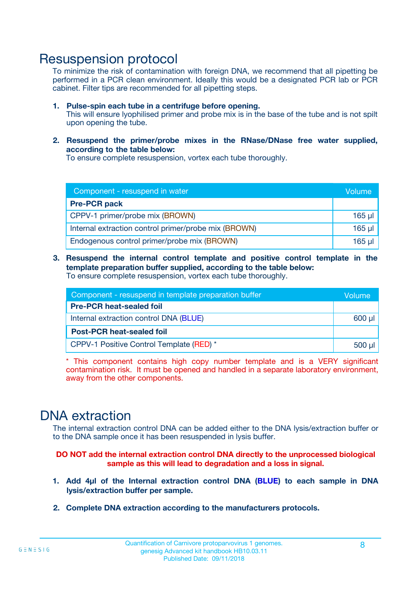### Resuspension protocol

To minimize the risk of contamination with foreign DNA, we recommend that all pipetting be performed in a PCR clean environment. Ideally this would be a designated PCR lab or PCR cabinet. Filter tips are recommended for all pipetting steps.

- **1. Pulse-spin each tube in a centrifuge before opening.** This will ensure lyophilised primer and probe mix is in the base of the tube and is not spilt upon opening the tube.
- **2. Resuspend the primer/probe mixes in the RNase/DNase free water supplied, according to the table below:**

To ensure complete resuspension, vortex each tube thoroughly.

| Component - resuspend in water                       |          |  |
|------------------------------------------------------|----------|--|
| <b>Pre-PCR pack</b>                                  |          |  |
| CPPV-1 primer/probe mix (BROWN)                      | $165$ µl |  |
| Internal extraction control primer/probe mix (BROWN) | 165 µl   |  |
| Endogenous control primer/probe mix (BROWN)          | $165$ µl |  |

**3. Resuspend the internal control template and positive control template in the template preparation buffer supplied, according to the table below:** To ensure complete resuspension, vortex each tube thoroughly.

| Component - resuspend in template preparation buffer |  |  |  |
|------------------------------------------------------|--|--|--|
| <b>Pre-PCR heat-sealed foil</b>                      |  |  |  |
| Internal extraction control DNA (BLUE)               |  |  |  |
| <b>Post-PCR heat-sealed foil</b>                     |  |  |  |
| CPPV-1 Positive Control Template (RED) *             |  |  |  |

\* This component contains high copy number template and is a VERY significant contamination risk. It must be opened and handled in a separate laboratory environment, away from the other components.

### DNA extraction

The internal extraction control DNA can be added either to the DNA lysis/extraction buffer or to the DNA sample once it has been resuspended in lysis buffer.

**DO NOT add the internal extraction control DNA directly to the unprocessed biological sample as this will lead to degradation and a loss in signal.**

- **1. Add 4µl of the Internal extraction control DNA (BLUE) to each sample in DNA lysis/extraction buffer per sample.**
- **2. Complete DNA extraction according to the manufacturers protocols.**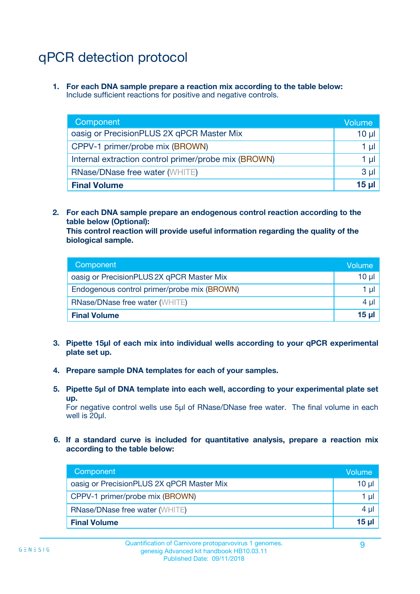# qPCR detection protocol

**1. For each DNA sample prepare a reaction mix according to the table below:** Include sufficient reactions for positive and negative controls.

| Component                                            | Volume   |
|------------------------------------------------------|----------|
| oasig or PrecisionPLUS 2X qPCR Master Mix            | $10 \mu$ |
| CPPV-1 primer/probe mix (BROWN)                      | 1 µI l   |
| Internal extraction control primer/probe mix (BROWN) | 1 µl     |
| <b>RNase/DNase free water (WHITE)</b>                | $3 \mu$  |
| <b>Final Volume</b>                                  | 15 µl    |

**2. For each DNA sample prepare an endogenous control reaction according to the table below (Optional):**

**This control reaction will provide useful information regarding the quality of the biological sample.**

| Component                                   | Volume   |
|---------------------------------------------|----------|
| oasig or PrecisionPLUS 2X qPCR Master Mix   | $10 \mu$ |
| Endogenous control primer/probe mix (BROWN) | 1 µI     |
| <b>RNase/DNase free water (WHITE)</b>       | $4 \mu$  |
| <b>Final Volume</b>                         | 15 µl    |

- **3. Pipette 15µl of each mix into individual wells according to your qPCR experimental plate set up.**
- **4. Prepare sample DNA templates for each of your samples.**
- **5. Pipette 5µl of DNA template into each well, according to your experimental plate set up.**

For negative control wells use 5µl of RNase/DNase free water. The final volume in each well is 20ul.

**6. If a standard curve is included for quantitative analysis, prepare a reaction mix according to the table below:**

| Component                                 | Volume          |
|-------------------------------------------|-----------------|
| oasig or PrecisionPLUS 2X qPCR Master Mix | 10 $\mu$        |
| CPPV-1 primer/probe mix (BROWN)           | 1 µI            |
| <b>RNase/DNase free water (WHITE)</b>     | $4 \mu$         |
| <b>Final Volume</b>                       | 15 <sub>µ</sub> |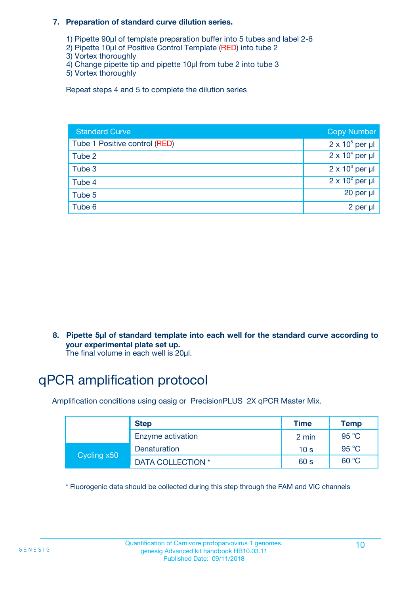#### **7. Preparation of standard curve dilution series.**

- 1) Pipette 90µl of template preparation buffer into 5 tubes and label 2-6
- 2) Pipette 10µl of Positive Control Template (RED) into tube 2
- 3) Vortex thoroughly
- 4) Change pipette tip and pipette 10µl from tube 2 into tube 3
- 5) Vortex thoroughly

Repeat steps 4 and 5 to complete the dilution series

| <b>Standard Curve</b>         | <b>Copy Number</b>     |
|-------------------------------|------------------------|
| Tube 1 Positive control (RED) | $2 \times 10^5$ per µl |
| Tube 2                        | $2 \times 10^4$ per µl |
| Tube 3                        | $2 \times 10^3$ per µl |
| Tube 4                        | $2 \times 10^2$ per µl |
| Tube 5                        | 20 per µl              |
| Tube 6                        | 2 per µl               |

**8. Pipette 5µl of standard template into each well for the standard curve according to your experimental plate set up.**

#### The final volume in each well is 20µl.

# qPCR amplification protocol

Amplification conditions using oasig or PrecisionPLUS 2X qPCR Master Mix.

|             | <b>Step</b>       | <b>Time</b>     | Temp    |
|-------------|-------------------|-----------------|---------|
|             | Enzyme activation | 2 min           | 95 °C   |
| Cycling x50 | Denaturation      | 10 <sub>s</sub> | 95 $°C$ |
|             | DATA COLLECTION * | 60 s            | 60 °C   |

\* Fluorogenic data should be collected during this step through the FAM and VIC channels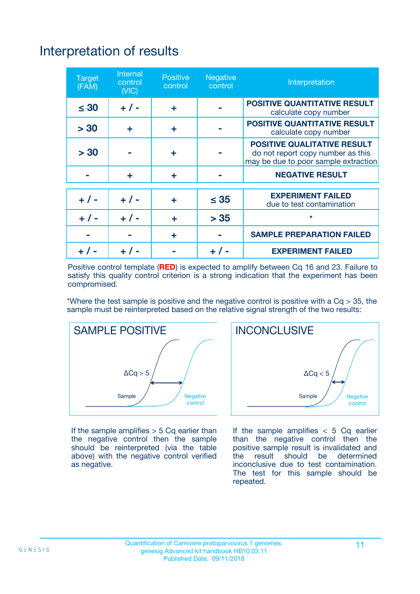# Interpretation of results

| <b>Target</b><br>(FAM) | <b>Internal</b><br>control<br>(NIC) | <b>Positive</b><br>control | <b>Negative</b><br>control | Interpretation                                                                                                  |
|------------------------|-------------------------------------|----------------------------|----------------------------|-----------------------------------------------------------------------------------------------------------------|
| $\leq 30$              | $+ 1 -$                             | ÷                          |                            | <b>POSITIVE QUANTITATIVE RESULT</b><br>calculate copy number                                                    |
| > 30                   | ٠                                   | ÷                          |                            | <b>POSITIVE QUANTITATIVE RESULT</b><br>calculate copy number                                                    |
| > 30                   |                                     | ÷                          |                            | <b>POSITIVE QUALITATIVE RESULT</b><br>do not report copy number as this<br>may be due to poor sample extraction |
|                        | ÷                                   | ÷                          |                            | <b>NEGATIVE RESULT</b>                                                                                          |
| $+ 1 -$                | $+ 1 -$                             | ÷                          | $\leq$ 35                  | <b>EXPERIMENT FAILED</b><br>due to test contamination                                                           |
| $+$ / -                | $+ 1 -$                             | ÷                          | > 35                       | $\star$                                                                                                         |
|                        |                                     | ÷                          |                            | <b>SAMPLE PREPARATION FAILED</b>                                                                                |
|                        |                                     |                            | $+$ /                      | <b>EXPERIMENT FAILED</b>                                                                                        |

Positive control template (**RED**) is expected to amplify between Cq 16 and 23. Failure to satisfy this quality control criterion is a strong indication that the experiment has been compromised.

\*Where the test sample is positive and the negative control is positive with a  $Ca > 35$ , the sample must be reinterpreted based on the relative signal strength of the two results:



If the sample amplifies  $> 5$  Cq earlier than the negative control then the sample should be reinterpreted (via the table above) with the negative control verified as negative.



If the sample amplifies  $< 5$  Cq earlier than the negative control then the positive sample result is invalidated and<br>the result should be determined  $the$  result should be inconclusive due to test contamination. The test for this sample should be repeated.